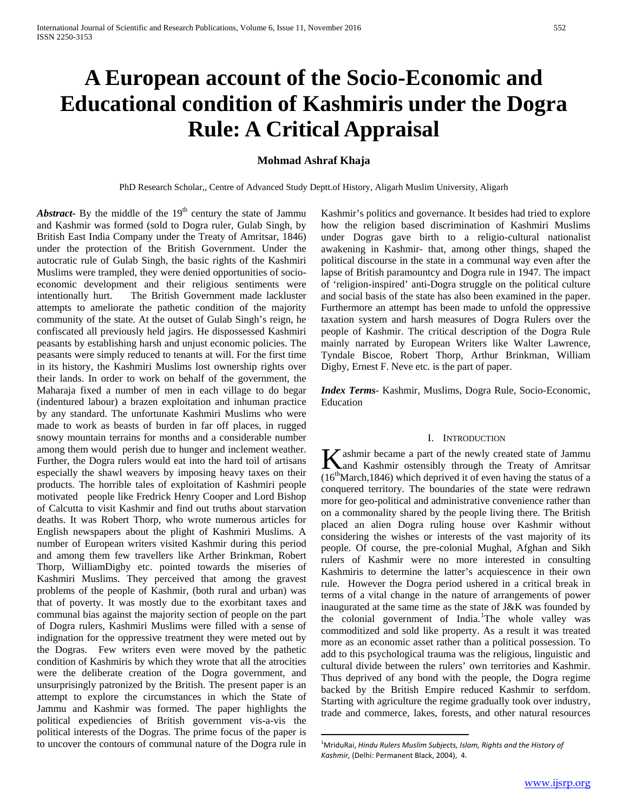# **A European account of the Socio-Economic and Educational condition of Kashmiris under the Dogra Rule: A Critical Appraisal**

## **Mohmad Ashraf Khaja**

PhD Research Scholar,, Centre of Advanced Study Deptt.of History, Aligarh Muslim University, Aligarh

*Abstract***-** By the middle of the  $19<sup>th</sup>$  century the state of Jammu and Kashmir was formed (sold to Dogra ruler, Gulab Singh, by British East India Company under the Treaty of Amritsar, 1846) under the protection of the British Government. Under the autocratic rule of Gulab Singh, the basic rights of the Kashmiri Muslims were trampled, they were denied opportunities of socioeconomic development and their religious sentiments were intentionally hurt. The British Government made lackluster attempts to ameliorate the pathetic condition of the majority community of the state. At the outset of Gulab Singh's reign, he confiscated all previously held jagirs. He dispossessed Kashmiri peasants by establishing harsh and unjust economic policies. The peasants were simply reduced to tenants at will. For the first time in its history, the Kashmiri Muslims lost ownership rights over their lands. In order to work on behalf of the government, the Maharaja fixed a number of men in each village to do begar (indentured labour) a brazen exploitation and inhuman practice by any standard. The unfortunate Kashmiri Muslims who were made to work as beasts of burden in far off places, in rugged snowy mountain terrains for months and a considerable number among them would perish due to hunger and inclement weather. Further, the Dogra rulers would eat into the hard toil of artisans especially the shawl weavers by imposing heavy taxes on their products. The horrible tales of exploitation of Kashmiri people motivated people like Fredrick Henry Cooper and Lord Bishop of Calcutta to visit Kashmir and find out truths about starvation deaths. It was Robert Thorp, who wrote numerous articles for English newspapers about the plight of Kashmiri Muslims. A number of European writers visited Kashmir during this period and among them few travellers like Arther Brinkman, Robert Thorp, WilliamDigby etc. pointed towards the miseries of Kashmiri Muslims. They perceived that among the gravest problems of the people of Kashmir, (both rural and urban) was that of poverty. It was mostly due to the exorbitant taxes and communal bias against the majority section of people on the part of Dogra rulers, Kashmiri Muslims were filled with a sense of indignation for the oppressive treatment they were meted out by the Dogras. Few writers even were moved by the pathetic condition of Kashmiris by which they wrote that all the atrocities were the deliberate creation of the Dogra government, and unsurprisingly patronized by the British. The present paper is an attempt to explore the circumstances in which the State of Jammu and Kashmir was formed. The paper highlights the political expediencies of British government vis-a-vis the political interests of the Dogras. The prime focus of the paper is to uncover the contours of communal nature of the Dogra rule in

Kashmir's politics and governance. It besides had tried to explore how the religion based discrimination of Kashmiri Muslims under Dogras gave birth to a religio-cultural nationalist awakening in Kashmir- that, among other things, shaped the political discourse in the state in a communal way even after the lapse of British paramountcy and Dogra rule in 1947. The impact of 'religion-inspired' anti-Dogra struggle on the political culture and social basis of the state has also been examined in the paper. Furthermore an attempt has been made to unfold the oppressive taxation system and harsh measures of Dogra Rulers over the people of Kashmir. The critical description of the Dogra Rule mainly narrated by European Writers like Walter Lawrence, Tyndale Biscoe, Robert Thorp, Arthur Brinkman, William Digby, Ernest F. Neve etc. is the part of paper.

*Index Terms*- Kashmir, Muslims, Dogra Rule, Socio-Economic, Education

#### I. INTRODUCTION

ashmir became a part of the newly created state of Jammu **K** ashmir became a part of the newly created state of Jammu and Kashmir ostensibly through the Treaty of Amritsar  $(16<sup>th</sup>March, 1846)$  which deprived it of even having the status of a conquered territory. The boundaries of the state were redrawn more for geo-political and administrative convenience rather than on a commonality shared by the people living there. The British placed an alien Dogra ruling house over Kashmir without considering the wishes or interests of the vast majority of its people. Of course, the pre-colonial Mughal, Afghan and Sikh rulers of Kashmir were no more interested in consulting Kashmiris to determine the latter's acquiescence in their own rule. However the Dogra period ushered in a critical break in terms of a vital change in the nature of arrangements of power inaugurated at the same time as the state of J&K was founded by the colonial government of India.<sup>[1](#page-0-0)</sup>The whole valley was commoditized and sold like property. As a result it was treated more as an economic asset rather than a political possession. To add to this psychological trauma was the religious, linguistic and cultural divide between the rulers' own territories and Kashmir. Thus deprived of any bond with the people, the Dogra regime backed by the British Empire reduced Kashmir to serfdom. Starting with agriculture the regime gradually took over industry, trade and commerce, lakes, forests, and other natural resources

<span id="page-0-1"></span><span id="page-0-0"></span> $\frac{1}{1}$ MriduRai, *Hindu Rulers Muslim Subjects, Islam, Rights and the History of Kashmir,* (Delhi: Permanent Black, 2004), 4.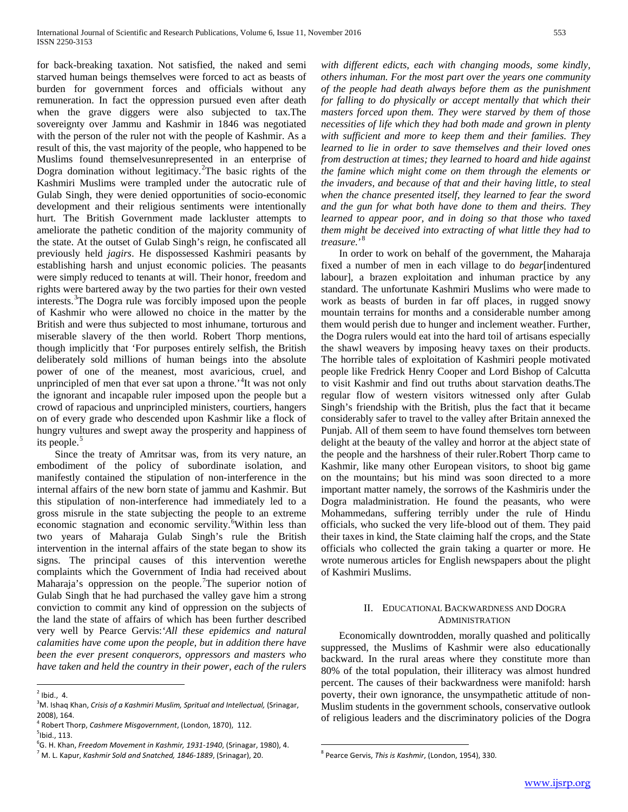for back-breaking taxation. Not satisfied, the naked and semi starved human beings themselves were forced to act as beasts of burden for government forces and officials without any remuneration. In fact the oppression pursued even after death when the grave diggers were also subjected to tax.The sovereignty over Jammu and Kashmir in 1846 was negotiated with the person of the ruler not with the people of Kashmir. As a result of this, the vast majority of the people, who happened to be Muslims found themselvesunrepresented in an enterprise of Dogra domination without legitimacy.<sup>[2](#page-0-1)</sup>The basic rights of the Kashmiri Muslims were trampled under the autocratic rule of Gulab Singh, they were denied opportunities of socio-economic development and their religious sentiments were intentionally hurt. The British Government made lackluster attempts to ameliorate the pathetic condition of the majority community of the state. At the outset of Gulab Singh's reign, he confiscated all previously held *jagirs*. He dispossessed Kashmiri peasants by establishing harsh and unjust economic policies. The peasants were simply reduced to tenants at will. Their honor, freedom and rights were bartered away by the two parties for their own vested interests.<sup>[3](#page-1-0)</sup>The Dogra rule was forcibly imposed upon the people of Kashmir who were allowed no choice in the matter by the British and were thus subjected to most inhumane, torturous and miserable slavery of the then world. Robert Thorp mentions, though implicitly that 'For purposes entirely selfish, the British deliberately sold millions of human beings into the absolute power of one of the meanest, most avaricious, cruel, and unprincipled of men that ever sat upon a throne.<sup>[4](#page-1-1)</sup>It was not only the ignorant and incapable ruler imposed upon the people but a crowd of rapacious and unprincipled ministers, courtiers, hangers on of every grade who descended upon Kashmir like a flock of hungry vultures and swept away the prosperity and happiness of its people.<sup>[5](#page-1-2)</sup>

 Since the treaty of Amritsar was, from its very nature, an embodiment of the policy of subordinate isolation, and manifestly contained the stipulation of non-interference in the internal affairs of the new born state of jammu and Kashmir. But this stipulation of non-interference had immediately led to a gross misrule in the state subjecting the people to an extreme economic stagnation and economic servility.<sup>[6](#page-1-3)</sup>Within less than two years of Maharaja Gulab Singh's rule the British intervention in the internal affairs of the state began to show its signs. The principal causes of this intervention werethe complaints which the Government of India had received about Maharaja's oppression on the people. The superior notion of Gulab Singh that he had purchased the valley gave him a strong conviction to commit any kind of oppression on the subjects of the land the state of affairs of which has been further described very well by Pearce Gervis:*'All these epidemics and natural calamities have come upon the people, but in addition there have been the ever present conquerors, oppressors and masters who have taken and held the country in their power, each of the rulers* 

*with different edicts, each with changing moods, some kindly, others inhuman. For the most part over the years one community of the people had death always before them as the punishment for falling to do physically or accept mentally that which their masters forced upon them. They were starved by them of those necessities of life which they had both made and grown in plenty with sufficient and more to keep them and their families. They learned to lie in order to save themselves and their loved ones from destruction at times; they learned to hoard and hide against the famine which might come on them through the elements or the invaders, and because of that and their having little, to steal when the chance presented itself, they learned to fear the sword and the gun for what both have done to them and theirs. They learned to appear poor, and in doing so that those who taxed them might be deceived into extracting of what little they had to treasure.*' [8](#page-1-4)

 In order to work on behalf of the government, the Maharaja fixed a number of men in each village to do *begar*[indentured labour], a brazen exploitation and inhuman practice by any standard. The unfortunate Kashmiri Muslims who were made to work as beasts of burden in far off places, in rugged snowy mountain terrains for months and a considerable number among them would perish due to hunger and inclement weather. Further, the Dogra rulers would eat into the hard toil of artisans especially the shawl weavers by imposing heavy taxes on their products. The horrible tales of exploitation of Kashmiri people motivated people like Fredrick Henry Cooper and Lord Bishop of Calcutta to visit Kashmir and find out truths about starvation deaths.The regular flow of western visitors witnessed only after Gulab Singh's friendship with the British, plus the fact that it became considerably safer to travel to the valley after Britain annexed the Punjab. All of them seem to have found themselves torn between delight at the beauty of the valley and horror at the abject state of the people and the harshness of their ruler.Robert Thorp came to Kashmir, like many other European visitors, to shoot big game on the mountains; but his mind was soon directed to a more important matter namely, the sorrows of the Kashmiris under the Dogra maladministration. He found the peasants, who were Mohammedans, suffering terribly under the rule of Hindu officials, who sucked the very life-blood out of them. They paid their taxes in kind, the State claiming half the crops, and the State officials who collected the grain taking a quarter or more. He wrote numerous articles for English newspapers about the plight of Kashmiri Muslims.

### II. EDUCATIONAL BACKWARDNESS AND DOGRA ADMINISTRATION

 Economically downtrodden, morally quashed and politically suppressed, the Muslims of Kashmir were also educationally backward. In the rural areas where they constitute more than 80% of the total population, their illiteracy was almost hundred percent. The causes of their backwardness were manifold: harsh poverty, their own ignorance, the unsympathetic attitude of non-Muslim students in the government schools, conservative outlook of religious leaders and the discriminatory policies of the Dogra

<span id="page-1-5"></span> $<sup>2</sup>$  Ibid., 4.</sup>

<span id="page-1-0"></span><sup>3</sup> M. Ishaq Khan, *Crisis of a Kashmiri Muslim, Spritual and Intellectual,* (Srinagar, 2008), 164.

<span id="page-1-2"></span><span id="page-1-1"></span><sup>4</sup> Robert Thorp, *Cashmere Misgovernment*, (London, 1870), 112.

<sup>&</sup>lt;sup>5</sup>lbid., 113. 6 G. H. Khan, *Freedom Movement in Kashmir, 1931-1940*, (Srinagar, 1980), 4.

<span id="page-1-4"></span><span id="page-1-3"></span><sup>7</sup> M. L. Kapur, *Kashmir Sold and Snatched, 1846-1889*, (Srinagar), 20.

<sup>8</sup> Pearce Gervis, *This is Kashmir*, (London, 1954), 330.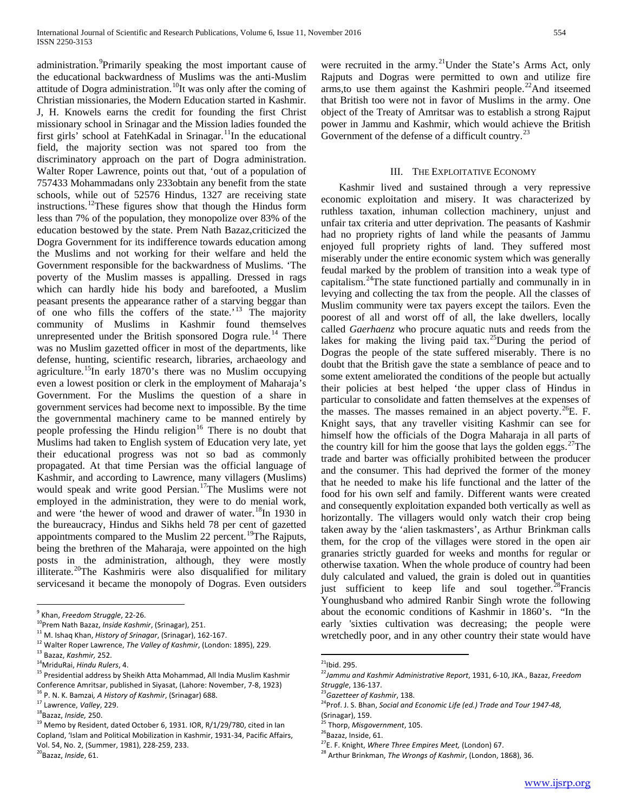administration. <sup>[9](#page-1-5)</sup>Primarily speaking the most important cause of the educational backwardness of Muslims was the anti-Muslim attitude of Dogra administration.<sup>10</sup>It was only after the coming of Christian missionaries, the Modern Education started in Kashmir. J, H. Knowels earns the credit for founding the first Christ missionary school in Srinagar and the Mission ladies founded the first girls' school at FatehKadal in Srinagar.<sup>[11](#page-2-0)</sup>In the educational field, the majority section was not spared too from the discriminatory approach on the part of Dogra administration. Walter Roper Lawrence, points out that, 'out of a population of 757433 Mohammadans only 233obtain any benefit from the state schools, while out of 52576 Hindus, 1327 are receiving state instructions.[12](#page-2-0)These figures show that though the Hindus form less than 7% of the population, they monopolize over 83% of the education bestowed by the state. Prem Nath Bazaz,criticized the Dogra Government for its indifference towards education among the Muslims and not working for their welfare and held the Government responsible for the backwardness of Muslims. 'The poverty of the Muslim masses is appalling. Dressed in rags which can hardly hide his body and barefooted, a Muslim peasant presents the appearance rather of a starving beggar than of one who fills the coffers of the state.'[13](#page-2-0) The majority community of Muslims in Kashmir found themselves unrepresented under the British sponsored Dogra rule.<sup>[14](#page-2-0)</sup> There was no Muslim gazetted officer in most of the departments, like defense, hunting, scientific research, libraries, archaeology and agriculture.<sup>15</sup>In early 1870's there was no Muslim occupying even a lowest position or clerk in the employment of Maharaja's Government. For the Muslims the question of a share in government services had become next to impossible. By the time the governmental machinery came to be manned entirely by people professing the Hindu religion<sup>[16](#page-2-0)</sup> There is no doubt that Muslims had taken to English system of Education very late, yet their educational progress was not so bad as commonly propagated. At that time Persian was the official language of Kashmir, and according to Lawrence, many villagers (Muslims) would speak and write good Persian.<sup>17</sup>The Muslims were not employed in the administration, they were to do menial work, and were 'the hewer of wood and drawer of water.<sup>[18](#page-2-0)</sup>In 1930 in the bureaucracy, Hindus and Sikhs held 78 per cent of gazetted appointments compared to the Muslim 22 percent.<sup>[19](#page-2-0)</sup>The Rajputs, being the brethren of the Maharaja, were appointed on the high posts in the administration, although, they were mostly illiterate.<sup>20</sup>The Kashmiris were also disqualified for military servicesand it became the monopoly of Dogras. Even outsiders

were recruited in the army.<sup>[21](#page-2-1)</sup>Under the State's Arms Act, only Rajputs and Dogras were permitted to own and utilize fire arms, to use them against the Kashmiri people.<sup>22</sup>And itseemed that British too were not in favor of Muslims in the army. One object of the Treaty of Amritsar was to establish a strong Rajput power in Jammu and Kashmir, which would achieve the British Government of the defense of a difficult country. $^{23}$  $^{23}$  $^{23}$ 

#### III. THE EXPLOITATIVE ECONOMY

 Kashmir lived and sustained through a very repressive economic exploitation and misery. It was characterized by ruthless taxation, inhuman collection machinery, unjust and unfair tax criteria and utter deprivation. The peasants of Kashmir had no propriety rights of land while the peasants of Jammu enjoyed full propriety rights of land. They suffered most miserably under the entire economic system which was generally feudal marked by the problem of transition into a weak type of capitalism.[24T](#page-2-1)he state functioned partially and communally in in levying and collecting the tax from the people. All the classes of Muslim community were tax payers except the tailors. Even the poorest of all and worst off of all, the lake dwellers, locally called *Gaerhaenz* who procure aquatic nuts and reeds from the lakes for making the living paid tax.<sup>[25](#page-2-1)</sup>During the period of Dogras the people of the state suffered miserably. There is no doubt that the British gave the state a semblance of peace and to some extent ameliorated the conditions of the people but actually their policies at best helped 'the upper class of Hindus in particular to consolidate and fatten themselves at the expenses of the masses. The masses remained in an abject poverty.<sup>26</sup>E. F. Knight says, that any traveller visiting Kashmir can see for himself how the officials of the Dogra Maharaja in all parts of the country kill for him the goose that lays the golden eggs. <sup>[27](#page-2-1)</sup>The trade and barter was officially prohibited between the producer and the consumer. This had deprived the former of the money that he needed to make his life functional and the latter of the food for his own self and family. Different wants were created and consequently exploitation expanded both vertically as well as horizontally. The villagers would only watch their crop being taken away by the 'alien taskmasters', as Arthur Brinkman calls them, for the crop of the villages were stored in the open air granaries strictly guarded for weeks and months for regular or otherwise taxation. When the whole produce of country had been duly calculated and valued, the grain is doled out in quantities just sufficient to keep life and soul together.<sup>28</sup>Francis Younghusband who admired Ranbir Singh wrote the following about the economic conditions of Kashmir in 1860's. "In the early 'sixties cultivation was decreasing; the people were wretchedly poor, and in any other country their state would have

<span id="page-2-0"></span><sup>&</sup>lt;sup>9</sup> Khan, *Freedom Struggle*, 22-26.<br><sup>10</sup>Prem Nath Bazaz, *Inside Kashmir*, (Srinagar), 251.

<sup>11</sup> M. Ishaq Khan, *History of Srinagar*, (Srinagar), 162-167. <sup>12</sup> Walter Roper Lawrence, *The Valley of Kashmir*, (London: 1895), 229.<br><sup>13</sup> Bazaz, *Kashmir*, 252.

<sup>&</sup>lt;sup>14</sup> MriduRai, *Hindu Rulers*, 4.

<span id="page-2-1"></span> $<sup>15</sup>$  Presidential address by Sheikh Atta Mohammad, All India Muslim Kashmir</sup> Conference Amritsar, published in Siyasat, (Lahore: November, 7-8, 1923) <sup>16</sup> P. N. K. Bamzai*, A History of Kashmir*, (Srinagar) 688. <sup>17</sup> Lawrence, *Valley*, 229.

<span id="page-2-2"></span>

<sup>18</sup>Bazaz, *Inside,* 250.

<sup>&</sup>lt;sup>19</sup> Memo by Resident, dated October 6, 1931. IOR, R/1/29/780, cited in Ian Copland, 'Islam and Political Mobilization in Kashmir, 1931-34, Pacific Affairs, Vol. 54, No. 2, (Summer, 1981), 228-259, 233.

<sup>20</sup>Bazaz, *Inside*, 61.

 $21$ Ibid. 295.

<sup>22</sup>*Jammu and Kashmir Administrative Report*, 1931, 6-10, JKA., Bazaz, *Freedom* 

*Struggle*, 136-137.

<sup>&</sup>lt;sup>24</sup>Prof. J. S. Bhan, *Social and Economic Life (ed.) Trade and Tour 1947-48*,

<sup>(</sup>Srinagar), 159.

<sup>&</sup>lt;sup>25</sup> Thorp, *Misgovernment*, 105.<br><sup>26</sup>Bazaz, Inside, 61.

<sup>27&</sup>lt;sub>E. F. Knight, *Where Three Empires Meet*, (London) 67.</sub>

<sup>28</sup> Arthur Brinkman, *The Wrongs of Kashmir*, (London, 1868), 36.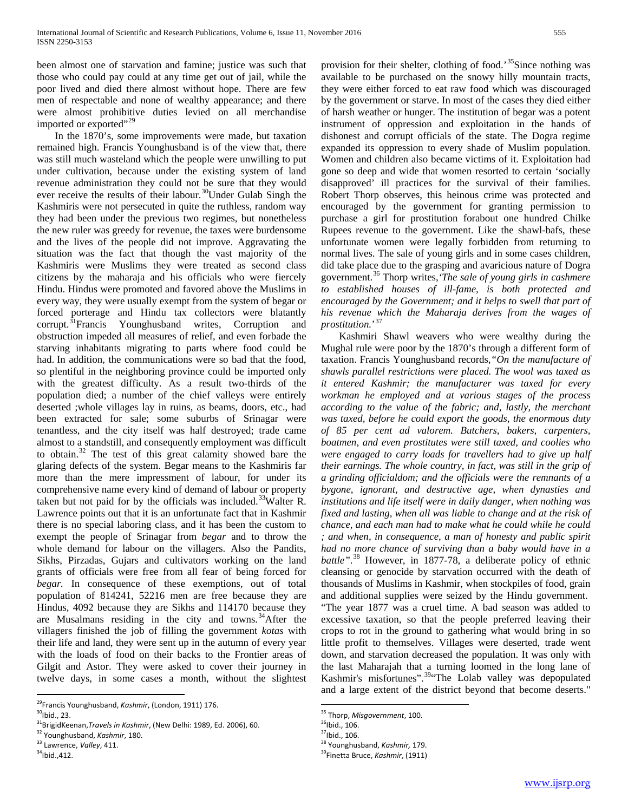been almost one of starvation and famine; justice was such that those who could pay could at any time get out of jail, while the poor lived and died there almost without hope. There are few men of respectable and none of wealthy appearance; and there were almost prohibitive duties levied on all merchandise imported or exported"<sup>[29](#page-2-2)</sup>

 In the 1870's, some improvements were made, but taxation remained high. Francis Younghusband is of the view that, there was still much wasteland which the people were unwilling to put under cultivation, because under the existing system of land revenue administration they could not be sure that they would ever receive the results of their labour.[30](#page-3-0)Under Gulab Singh the Kashmiris were not persecuted in quite the ruthless, random way they had been under the previous two regimes, but nonetheless the new ruler was greedy for revenue, the taxes were burdensome and the lives of the people did not improve. Aggravating the situation was the fact that though the vast majority of the Kashmiris were Muslims they were treated as second class citizens by the maharaja and his officials who were fiercely Hindu. Hindus were promoted and favored above the Muslims in every way, they were usually exempt from the system of begar or forced porterage and Hindu tax collectors were blatantly corrupt.[31](#page-3-0)Francis Younghusband writes, Corruption and obstruction impeded all measures of relief, and even forbade the starving inhabitants migrating to parts where food could be had. In addition, the communications were so bad that the food, so plentiful in the neighboring province could be imported only with the greatest difficulty. As a result two-thirds of the population died; a number of the chief valleys were entirely deserted ;whole villages lay in ruins, as beams, doors, etc., had been extracted for sale; some suburbs of Srinagar were tenantless, and the city itself was half destroyed; trade came almost to a standstill, and consequently employment was difficult to obtain.[32](#page-3-0) The test of this great calamity showed bare the glaring defects of the system. Begar means to the Kashmiris far more than the mere impressment of labour, for under its comprehensive name every kind of demand of labour or property taken but not paid for by the officials was included.<sup>33</sup>Walter R. Lawrence points out that it is an unfortunate fact that in Kashmir there is no special laboring class, and it has been the custom to exempt the people of Srinagar from *begar* and to throw the whole demand for labour on the villagers. Also the Pandits, Sikhs, Pirzadas, Gujars and cultivators working on the land grants of officials were free from all fear of being forced for *begar.* In consequence of these exemptions, out of total population of 814241, 52216 men are free because they are Hindus, 4092 because they are Sikhs and 114170 because they are Musalmans residing in the city and towns. $34$ After the villagers finished the job of filling the government *kotas* with their life and land, they were sent up in the autumn of every year with the loads of food on their backs to the Frontier areas of Gilgit and Astor. They were asked to cover their journey in twelve days, in some cases a month, without the slightest provision for their shelter, clothing of food.<sup>[35](#page-3-1)</sup>Since nothing was available to be purchased on the snowy hilly mountain tracts, they were either forced to eat raw food which was discouraged by the government or starve. In most of the cases they died either of harsh weather or hunger. The institution of begar was a potent instrument of oppression and exploitation in the hands of dishonest and corrupt officials of the state. The Dogra regime expanded its oppression to every shade of Muslim population. Women and children also became victims of it. Exploitation had gone so deep and wide that women resorted to certain 'socially disapproved' ill practices for the survival of their families. Robert Thorp observes, this heinous crime was protected and encouraged by the government for granting permission to purchase a girl for prostitution forabout one hundred Chilke Rupees revenue to the government. Like the shawl-bafs, these unfortunate women were legally forbidden from returning to normal lives. The sale of young girls and in some cases children, did take place due to the grasping and avaricious nature of Dogra government.[36](#page-3-1) Thorp writes,*'The sale of young girls in cashmere to established houses of ill-fame, is both protected and encouraged by the Government; and it helps to swell that part of his revenue which the Maharaja derives from the wages of prostitution.*' [37](#page-3-1)

 Kashmiri Shawl weavers who were wealthy during the Mughal rule were poor by the 1870's through a different form of taxation. Francis Younghusband records,*"On the manufacture of shawls parallel restrictions were placed. The wool was taxed as it entered Kashmir; the manufacturer was taxed for every workman he employed and at various stages of the process according to the value of the fabric; and, lastly, the merchant was taxed, before he could export the goods, the enormous duty of 85 per cent ad valorem. Butchers, bakers, carpenters, boatmen, and even prostitutes were still taxed, and coolies who were engaged to carry loads for travellers had to give up half their earnings. The whole country, in fact, was still in the grip of a grinding officialdom; and the officials were the remnants of a bygone, ignorant, and destructive age, when dynasties and institutions and life itself were in daily danger, when nothing was fixed and lasting, when all was liable to change and at the risk of chance, and each man had to make what he could while he could ; and when, in consequence, a man of honesty and public spirit had no more chance of surviving than a baby would have in a battle"*. [38](#page-3-1) However, in 1877-78, a deliberate policy of ethnic cleansing or genocide by starvation occurred with the death of thousands of Muslims in Kashmir, when stockpiles of food, grain and additional supplies were seized by the Hindu government. "The year 1877 was a cruel time. A bad season was added to excessive taxation, so that the people preferred leaving their crops to rot in the ground to gathering what would bring in so

little profit to themselves. Villages were deserted, trade went down, and starvation decreased the population. It was only with the last Maharajah that a turning loomed in the long lane of Kashmir's misfortunes".<sup>[39](#page-3-1)</sup> The Lolab valley was depopulated and a large extent of the district beyond that become deserts."

<span id="page-3-2"></span><span id="page-3-0"></span>29Francis Younghusband, *Kashmir*, (London, 1911) 176.

<span id="page-3-1"></span> $30$ Ibid., 23.

<sup>&</sup>lt;sup>31</sup>BrigidKeenan,*Travels in Kashmir*, (New Delhi: 1989, Ed. 2006), 60.

<sup>32</sup> Younghusband, *Kashmir*, 180. <sup>33</sup> Lawrence, *Valley*, 411.

 $34$ Ibid.,412.

<sup>35</sup> Thorp, *Misgovernment*, 100.

 $36$ Ibid., 106.

 $37$ Ibid., 106.

<sup>38</sup> Younghusband, *Kashmir,* 179.

<sup>39</sup>Finetta Bruce, *Kashmir*, (1911)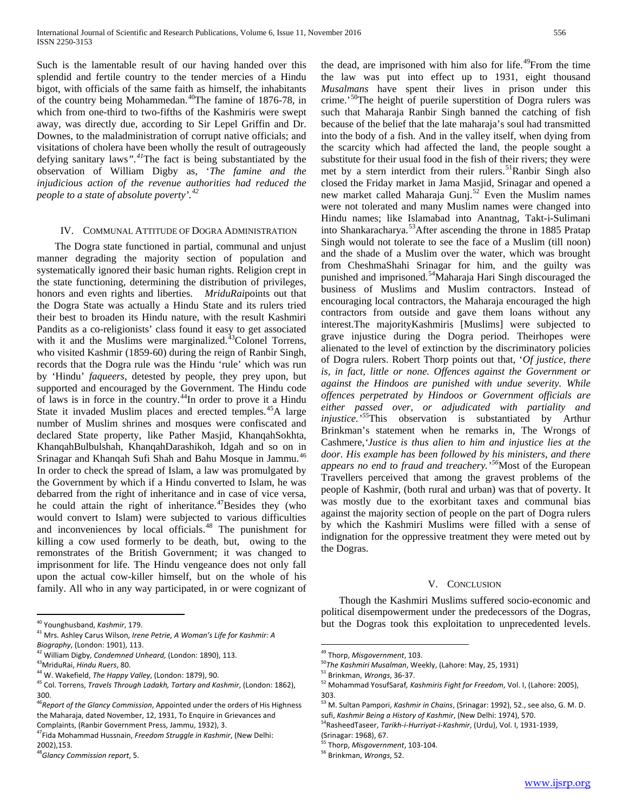Such is the lamentable result of our having handed over this splendid and fertile country to the tender mercies of a Hindu bigot, with officials of the same faith as himself, the inhabitants of the country being Mohammedan.[40](#page-3-2)The famine of 1876-78, in which from one-third to two-fifths of the Kashmiris were swept away, was directly due, according to Sir Lepel Griffin and Dr. Downes, to the maladministration of corrupt native officials; and visitations of cholera have been wholly the result of outrageously defying sanitary laws*".[41](#page-4-0)*The fact is being substantiated by the observation of William Digby as, '*The famine and the injudicious action of the revenue authorities had reduced the people to a state of absolute poverty'.[42](#page-4-0)*

#### IV. COMMUNAL ATTITUDE OF DOGRA ADMINISTRATION

 The Dogra state functioned in partial, communal and unjust manner degrading the majority section of population and systematically ignored their basic human rights. Religion crept in the state functioning, determining the distribution of privileges, honors and even rights and liberties. *MriduRai*points out that the Dogra State was actually a Hindu State and its rulers tried their best to broaden its Hindu nature, with the result Kashmiri Pandits as a co-religionists' class found it easy to get associated with it and the Muslims were marginalized.<sup>[43](#page-4-0)</sup>Colonel Torrens, who visited Kashmir (1859-60) during the reign of Ranbir Singh, records that the Dogra rule was the Hindu 'rule' which was run by 'Hindu' *faqueers,* detested by people, they prey upon, but supported and encouraged by the Government. The Hindu code of laws is in force in the country.[44I](#page-4-0)n order to prove it a Hindu State it invaded Muslim places and erected temples.<sup>45</sup>A large number of Muslim shrines and mosques were confiscated and declared State property, like Pather Masjid, KhanqahSokhta, KhanqahBulbulshah, KhanqahDarashikoh, Idgah and so on in Srinagar and Khanqah Sufi Shah and Bahu Mosque in Jammu.<sup>[46](#page-4-0)</sup> In order to check the spread of Islam, a law was promulgated by the Government by which if a Hindu converted to Islam, he was debarred from the right of inheritance and in case of vice versa, he could attain the right of inheritance.<sup>[47](#page-4-0)</sup>Besides they (who would convert to Islam) were subjected to various difficulties and inconveniences by local officials.<sup>[48](#page-4-0)</sup> The punishment for killing a cow used formerly to be death, but, owing to the remonstrates of the British Government; it was changed to imprisonment for life. The Hindu vengeance does not only fall upon the actual cow-killer himself, but on the whole of his family. All who in any way participated, in or were cognizant of

the dead, are imprisoned with him also for life.<sup>[49](#page-4-1)</sup>From the time the law was put into effect up to 1931, eight thousand *Musalmans* have spent their lives in prison under this crime.'<sup>50</sup>The height of puerile superstition of Dogra rulers was such that Maharaja Ranbir Singh banned the catching of fish because of the belief that the late maharaja's soul had transmitted into the body of a fish. And in the valley itself, when dying from the scarcity which had affected the land, the people sought a substitute for their usual food in the fish of their rivers; they were met by a stern interdict from their rulers.<sup>51</sup>Ranbir Singh also closed the Friday market in Jama Masjid, Srinagar and opened a new market called Maharaja Gunj. $52^{\circ}$  $52^{\circ}$  Even the Muslim names were not tolerated and many Muslim names were changed into Hindu names; like Islamabad into Anantnag, Takt-i-Sulimani into Shankaracharya.<sup>[53](#page-4-1)</sup>After ascending the throne in 1885 Pratap Singh would not tolerate to see the face of a Muslim (till noon) and the shade of a Muslim over the water, which was brought from CheshmaShahi Srinagar for him, and the guilty was punished and imprisoned.<sup>[54](#page-4-1)</sup>Maharaja Hari Singh discouraged the business of Muslims and Muslim contractors. Instead of encouraging local contractors, the Maharaja encouraged the high contractors from outside and gave them loans without any interest.The majorityKashmiris [Muslims] were subjected to grave injustice during the Dogra period. Theirhopes were alienated to the level of extinction by the discriminatory policies of Dogra rulers. Robert Thorp points out that, '*Of justice, there is, in fact, little or none. Offences against the Government or against the Hindoos are punished with undue severity. While offences perpetrated by Hindoos or Government officials are either passed over, or adjudicated with partiality and injustice.'[55](#page-4-1)*This observation is substantiated by Arthur Brinkman's statement when he remarks in, The Wrongs of Cashmere,*'Justice is thus alien to him and injustice lies at the door. His example has been followed by his ministers, and there appears no end to fraud and treachery.'[56](#page-4-1)*Most of the European Travellers perceived that among the gravest problems of the people of Kashmir, (both rural and urban) was that of poverty. It was mostly due to the exorbitant taxes and communal bias against the majority section of people on the part of Dogra rulers by which the Kashmiri Muslims were filled with a sense of indignation for the oppressive treatment they were meted out by the Dogras.

#### V. CONCLUSION

 Though the Kashmiri Muslims suffered socio-economic and political disempowerment under the predecessors of the Dogras, but the Dogras took this exploitation to unprecedented levels.

<span id="page-4-0"></span><sup>40</sup> Younghusband, *Kashmir*, 179.

<sup>41</sup> Mrs. Ashley Carus Wilson, *Irene Petrie, A Woman's Life for Kashmir: A Biography*, (London: 1901), 113.

<sup>&</sup>lt;sup>42</sup> William Digby, *Condemned Unheard,* (London: 1890), 113.<br><sup>43</sup>MriduRai, *Hindu Ruers,* 80.

<span id="page-4-1"></span><sup>&</sup>lt;sup>43</sup>MriduRai, *Hindu Ruers*, 80.<br><sup>44</sup> W. Wakefield, *The Happy Valley*, (London: 1879), 90.

<sup>45</sup> Col. Torrens, *Travels Through Ladakh, Tartary and Kashmir*, (London: 1862), 300.

<sup>46</sup>*Report of the Glancy Commission*, Appointed under the orders of His Highness the Maharaja, dated November, 12, 1931, To Enquire in Grievances and Complaints, (Ranbir Government Press, Jammu, 1932), 3.

<sup>47</sup>Fida Mohammad Hussnain, *Freedom Struggle in Kashmir*, (New Delhi:

<sup>2002),153.</sup>

<sup>48</sup>*Glancy Commission report*, 5.

<sup>&</sup>lt;sup>49</sup> Thorp, *Misgovernment*, 103.<br><sup>50</sup>The Kashmiri Musalman, Weekly, (Lahore: May, 25, 1931)

<sup>51</sup> Brinkman, *Wrongs*, 36-37.

<sup>52</sup> Mohammad YosufSaraf*, Kashmiris Fight for Freedom*, Vol. I, (Lahore: 2005), 303.

<sup>53</sup> M. Sultan Pampori, *Kashmir in Chains*, (Srinagar: 1992), 52., see also, G. M. D. sufi, *Kashmir Being a History of Kashmir*, (New Delhi: 1974), 570.

<sup>54</sup>RasheedTaseer, *Tarikh-i-Hurriyat-i-Kashmir*, (Urdu), Vol. I, 1931-1939,

<sup>(</sup>Srinagar: 1968), 67.

<sup>55</sup> Thorp, *Misgovernment*, 103-104.

<sup>56</sup> Brinkman, *Wrongs*, 52.